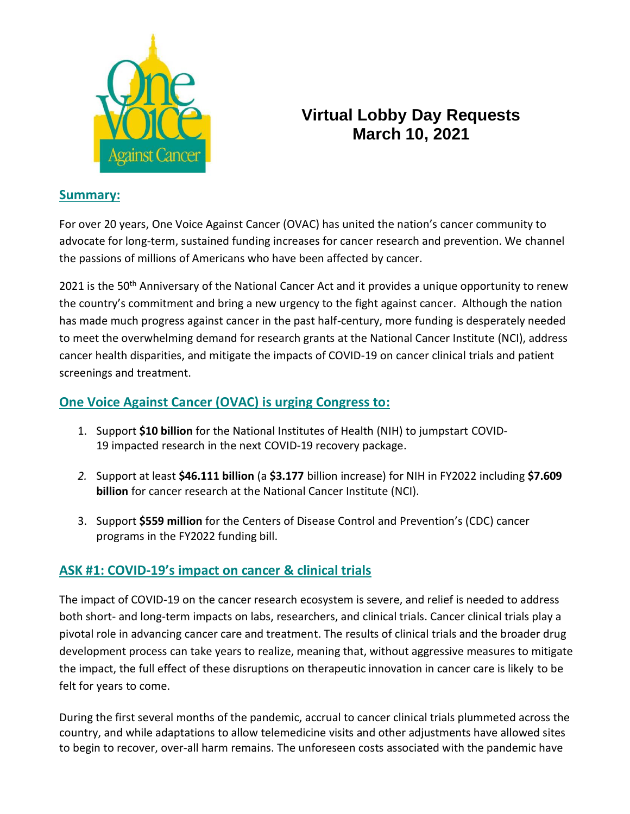

# **Virtual Lobby Day Requests March 10, 2021**

#### **Summary:**

For over 20 years, One Voice Against Cancer (OVAC) has united the nation's cancer community to advocate for long-term, sustained funding increases for cancer research and prevention. We channel the passions of millions of Americans who have been affected by cancer.

2021 is the 50<sup>th</sup> Anniversary of the National Cancer Act and it provides a unique opportunity to renew the country's commitment and bring a new urgency to the fight against cancer. Although the nation has made much progress against cancer in the past half-century, more funding is desperately needed to meet the overwhelming demand for research grants at the National Cancer Institute (NCI), address cancer health disparities, and mitigate the impacts of COVID-19 on cancer clinical trials and patient screenings and treatment.

### **One Voice Against Cancer (OVAC) is urging Congress to:**

- 1. Support **\$10 billion** for the National Institutes of Health (NIH) to jumpstart COVID-19 impacted research in the next COVID-19 recovery package.
- *2.* Support at least **\$46.111 billion** (a **\$3.177** billion increase) for NIH in FY2022 including **\$7.609 billion** for cancer research at the National Cancer Institute (NCI).
- 3. Support **\$559 million** for the Centers of Disease Control and Prevention's (CDC) cancer programs in the FY2022 funding bill.

## **ASK #1: COVID-19's impact on cancer & clinical trials**

The impact of COVID-19 on the cancer research ecosystem is severe, and relief is needed to address both short- and long-term impacts on labs, researchers, and clinical trials. Cancer clinical trials play a pivotal role in advancing cancer care and treatment. The results of clinical trials and the broader drug development process can take years to realize, meaning that, without aggressive measures to mitigate the impact, the full effect of these disruptions on therapeutic innovation in cancer care is likely to be felt for years to come.

During the first several months of the pandemic, accrual to cancer clinical trials plummeted across the country, and while adaptations to allow telemedicine visits and other adjustments have allowed sites to begin to recover, over-all harm remains. The unforeseen costs associated with the pandemic have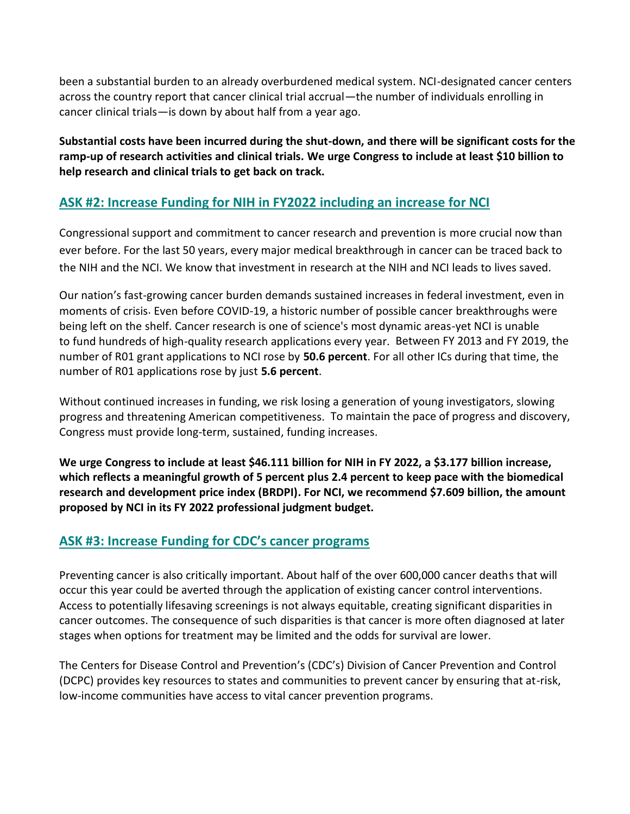been a substantial burden to an already overburdened medical system. NCI-designated cancer centers across the country report that cancer clinical trial accrual—the number of individuals enrolling in cancer clinical trials—is down by about half from a year ago.

**Substantial costs have been incurred during the shut-down, and there will be significant costs for the ramp-up of research activities and clinical trials. We urge Congress to include at least \$10 billion to help research and clinical trials to get back on track.** 

### **ASK #2: Increase Funding for NIH in FY2022 including an increase for NCI**

Congressional support and commitment to cancer research and prevention is more crucial now than ever before. For the last 50 years, every major medical breakthrough in cancer can be traced back to the NIH and the NCI. We know that investment in research at the NIH and NCI leads to lives saved.

Our nation's fast-growing cancer burden demands sustained increases in federal investment, even in moments of crisis. Even before COVID-19, a historic number of possible cancer breakthroughs were being left on the shelf. Cancer research is one of science's most dynamic areas-yet NCI is unable to fund hundreds of high-quality research applications every year. Between FY 2013 and FY 2019, the number of R01 grant applications to NCI rose by **50.6 percent**. For all other ICs during that time, the number of R01 applications rose by just **5.6 percent**.

Without continued increases in funding, we risk losing a generation of young investigators, slowing progress and threatening American competitiveness. To maintain the pace of progress and discovery, Congress must provide long-term, sustained, funding increases.

**We urge Congress to include at least \$46.111 billion for NIH in FY 2022, a \$3.177 billion increase, which reflects a meaningful growth of 5 percent plus 2.4 percent to keep pace with the biomedical research and development price index (BRDPI). For NCI, we recommend \$7.609 billion, the amount proposed by NCI in its FY 2022 professional judgment budget.** 

#### **ASK #3: Increase Funding for CDC's cancer programs**

Preventing cancer is also critically important. About half of the over 600,000 cancer deaths that will occur this year could be averted through the application of existing cancer control interventions. Access to potentially lifesaving screenings is not always equitable, creating significant disparities in cancer outcomes. The consequence of such disparities is that cancer is more often diagnosed at later stages when options for treatment may be limited and the odds for survival are lower.

The Centers for Disease Control and Prevention's (CDC's) Division of Cancer Prevention and Control (DCPC) provides key resources to states and communities to prevent cancer by ensuring that at-risk, low-income communities have access to vital cancer prevention programs.